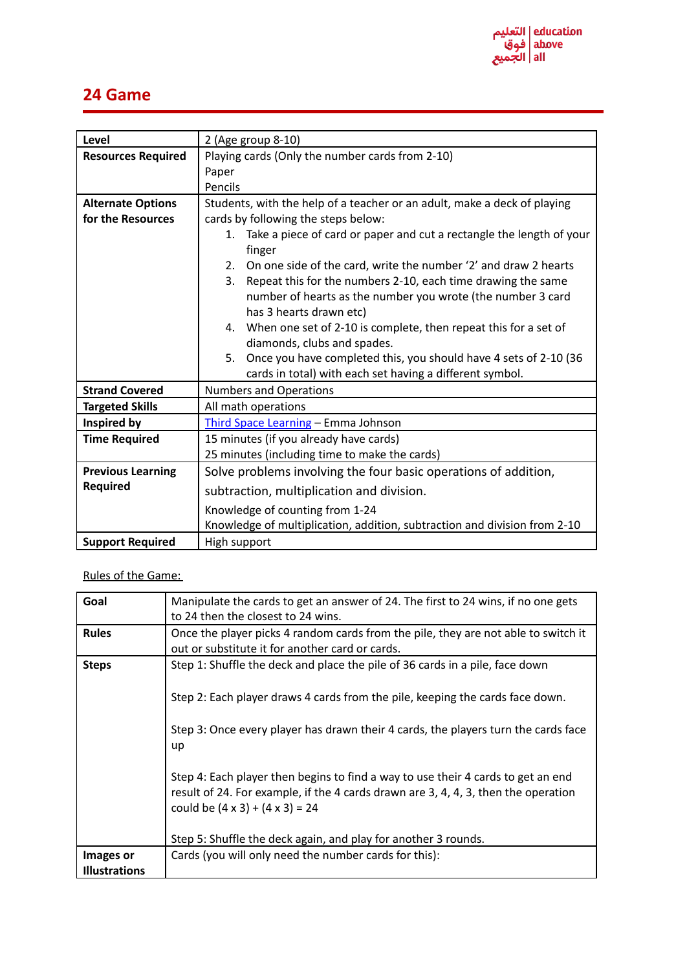## **24 Game**

| Level                     | 2 (Age group 8-10)                                                                |
|---------------------------|-----------------------------------------------------------------------------------|
| <b>Resources Required</b> | Playing cards (Only the number cards from 2-10)                                   |
|                           | Paper                                                                             |
|                           | Pencils                                                                           |
| <b>Alternate Options</b>  | Students, with the help of a teacher or an adult, make a deck of playing          |
| for the Resources         | cards by following the steps below:                                               |
|                           | 1. Take a piece of card or paper and cut a rectangle the length of your<br>finger |
|                           | On one side of the card, write the number '2' and draw 2 hearts<br>2.             |
|                           | Repeat this for the numbers 2-10, each time drawing the same<br>3.                |
|                           | number of hearts as the number you wrote (the number 3 card                       |
|                           | has 3 hearts drawn etc)                                                           |
|                           | 4. When one set of 2-10 is complete, then repeat this for a set of                |
|                           | diamonds, clubs and spades.                                                       |
|                           | Once you have completed this, you should have 4 sets of 2-10 (36<br>5.            |
|                           | cards in total) with each set having a different symbol.                          |
| <b>Strand Covered</b>     | <b>Numbers and Operations</b>                                                     |
| <b>Targeted Skills</b>    | All math operations                                                               |
| Inspired by               | Third Space Learning - Emma Johnson                                               |
| <b>Time Required</b>      | 15 minutes (if you already have cards)                                            |
|                           | 25 minutes (including time to make the cards)                                     |
| <b>Previous Learning</b>  | Solve problems involving the four basic operations of addition,                   |
| <b>Required</b>           | subtraction, multiplication and division.                                         |
|                           | Knowledge of counting from 1-24                                                   |
|                           | Knowledge of multiplication, addition, subtraction and division from 2-10         |
| <b>Support Required</b>   | High support                                                                      |

Rules of the Game:

| Goal                 | Manipulate the cards to get an answer of 24. The first to 24 wins, if no one gets  |
|----------------------|------------------------------------------------------------------------------------|
|                      | to 24 then the closest to 24 wins.                                                 |
| <b>Rules</b>         | Once the player picks 4 random cards from the pile, they are not able to switch it |
|                      | out or substitute it for another card or cards.                                    |
| <b>Steps</b>         | Step 1: Shuffle the deck and place the pile of 36 cards in a pile, face down       |
|                      |                                                                                    |
|                      | Step 2: Each player draws 4 cards from the pile, keeping the cards face down.      |
|                      |                                                                                    |
|                      | Step 3: Once every player has drawn their 4 cards, the players turn the cards face |
|                      | up                                                                                 |
|                      |                                                                                    |
|                      | Step 4: Each player then begins to find a way to use their 4 cards to get an end   |
|                      | result of 24. For example, if the 4 cards drawn are 3, 4, 4, 3, then the operation |
|                      | could be $(4 \times 3) + (4 \times 3) = 24$                                        |
|                      |                                                                                    |
|                      | Step 5: Shuffle the deck again, and play for another 3 rounds.                     |
| Images or            | Cards (you will only need the number cards for this):                              |
| <b>Illustrations</b> |                                                                                    |